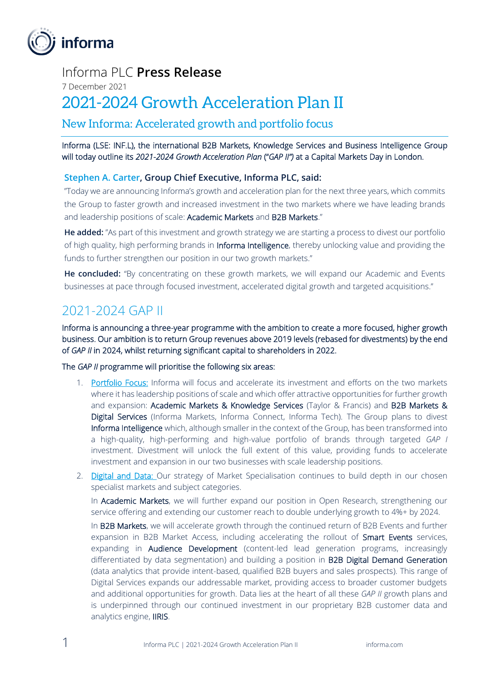

#### Informa PLC **Press Release**

7 December 2021

# 2021-2024 Growth Acceleration Plan II

New Informa: Accelerated growth and portfolio focus

Informa (LSE: INF.L), the international B2B Markets, Knowledge Services and Business Intelligence Group will today outline its *2021-2024 Growth Acceleration Plan* ("*GAP II")* at a Capital Markets Day in London.

#### **Stephen A. Carter, Group Chief Executive, Informa PLC, said:**

"Today we are announcing Informa's growth and acceleration plan for the next three years, which commits the Group to faster growth and increased investment in the two markets where we have leading brands and leadership positions of scale: Academic Markets and B2B Markets."

**He added:** "As part of this investment and growth strategy we are starting a process to divest our portfolio of high quality, high performing brands in Informa Intelligence, thereby unlocking value and providing the funds to further strengthen our position in our two growth markets."

**He concluded:** "By concentrating on these growth markets, we will expand our Academic and Events businesses at pace through focused investment, accelerated digital growth and targeted acquisitions."

## 2021-2024 GAP II

Informa is announcing a three-year programme with the ambition to create a more focused, higher growth business. Our ambition is to return Group revenues above 2019 levels (rebased for divestments) by the end of *GAP II* in 2024, whilst returning significant capital to shareholders in 2022.

The *GAP II* programme will prioritise the following six areas:

- 1. Portfolio Focus: Informa will focus and accelerate its investment and efforts on the two markets where it has leadership positions of scale and which offer attractive opportunities for further growth and expansion: Academic Markets & Knowledge Services (Taylor & Francis) and B2B Markets & Digital Services (Informa Markets, Informa Connect, Informa Tech). The Group plans to divest Informa Intelligence which, although smaller in the context of the Group, has been transformed into a high-quality, high-performing and high-value portfolio of brands through targeted *GAP I* investment. Divestment will unlock the full extent of this value, providing funds to accelerate investment and expansion in our two businesses with scale leadership positions.
- 2. Digital and Data: Our strategy of Market Specialisation continues to build depth in our chosen specialist markets and subject categories.

In Academic Markets, we will further expand our position in Open Research, strengthening our service offering and extending our customer reach to double underlying growth to 4%+ by 2024.

In B2B Markets, we will accelerate growth through the continued return of B2B Events and further expansion in B2B Market Access, including accelerating the rollout of Smart Events services, expanding in Audience Development (content-led lead generation programs, increasingly differentiated by data segmentation) and building a position in B2B Digital Demand Generation (data analytics that provide intent-based, qualified B2B buyers and sales prospects). This range of Digital Services expands our addressable market, providing access to broader customer budgets and additional opportunities for growth. Data lies at the heart of all these *GAP II* growth plans and is underpinned through our continued investment in our proprietary B2B customer data and analytics engine, IIRIS.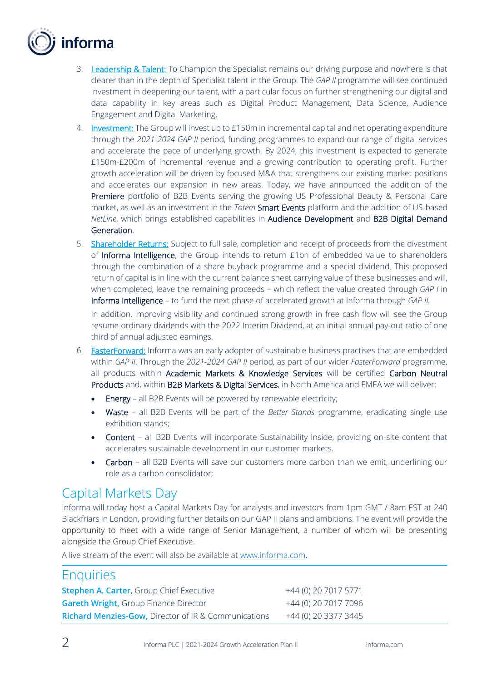

- 3. Leadership & Talent: To Champion the Specialist remains our driving purpose and nowhere is that clearer than in the depth of Specialist talent in the Group. The *GAP II* programme will see continued investment in deepening our talent, with a particular focus on further strengthening our digital and data capability in key areas such as Digital Product Management, Data Science, Audience Engagement and Digital Marketing.
- 4. Investment: The Group will invest up to £150m in incremental capital and net operating expenditure through the *2021-2024 GAP II* period, funding programmes to expand our range of digital services and accelerate the pace of underlying growth. By 2024, this investment is expected to generate £150m-£200m of incremental revenue and a growing contribution to operating profit. Further growth acceleration will be driven by focused M&A that strengthens our existing market positions and accelerates our expansion in new areas. Today, we have announced the addition of the Premiere portfolio of B2B Events serving the growing US Professional Beauty & Personal Care market, as well as an investment in the *Totem* Smart Events platform and the addition of US-based *NetLine*, which brings established capabilities in Audience Development and B2B Digital Demand Generation.
- 5. Shareholder Returns: Subject to full sale, completion and receipt of proceeds from the divestment of Informa Intelligence, the Group intends to return £1bn of embedded value to shareholders through the combination of a share buyback programme and a special dividend. This proposed return of capital is in line with the current balance sheet carrying value of these businesses and will, when completed, leave the remaining proceeds – which reflect the value created through *GAP I* in Informa Intelligence – to fund the next phase of accelerated growth at Informa through *GAP II.*

In addition, improving visibility and continued strong growth in free cash flow will see the Group resume ordinary dividends with the 2022 Interim Dividend, at an initial annual pay-out ratio of one third of annual adjusted earnings.

- 6. FasterForward: Informa was an early adopter of sustainable business practises that are embedded within *GAP II*. Through the *2021-2024 GAP II* period, as part of our wider *FasterForward* programme, all products within Academic Markets & Knowledge Services will be certified Carbon Neutral Products and, within B2B Markets & Digital Services, in North America and EMEA we will deliver:
	- **Energy** all B2B Events will be powered by renewable electricity;
	- Waste all B2B Events will be part of the *Better Stands* programme, eradicating single use exhibition stands;
	- Content all B2B Events will incorporate Sustainability Inside, providing on-site content that accelerates sustainable development in our customer markets.
	- Carbon all B2B Events will save our customers more carbon than we emit, underlining our role as a carbon consolidator;

#### Capital Markets Day

Informa will today host a Capital Markets Day for analysts and investors from 1pm GMT / 8am EST at 240 Blackfriars in London, providing further details on our GAP II plans and ambitions. The event will provide the opportunity to meet with a wide range of Senior Management, a number of whom will be presenting alongside the Group Chief Executive.

A live stream of the event will also be available at [www.informa.com.](http://www.informa.com/) 

#### **Enquiries**

| <b>Stephen A. Carter, Group Chief Executive</b>                 | +44 (0) 20 7017 5771 |
|-----------------------------------------------------------------|----------------------|
| <b>Gareth Wright, Group Finance Director</b>                    | +44 (0) 20 7017 7096 |
| <b>Richard Menzies-Gow, Director of IR &amp; Communications</b> | +44 (0) 20 3377 3445 |